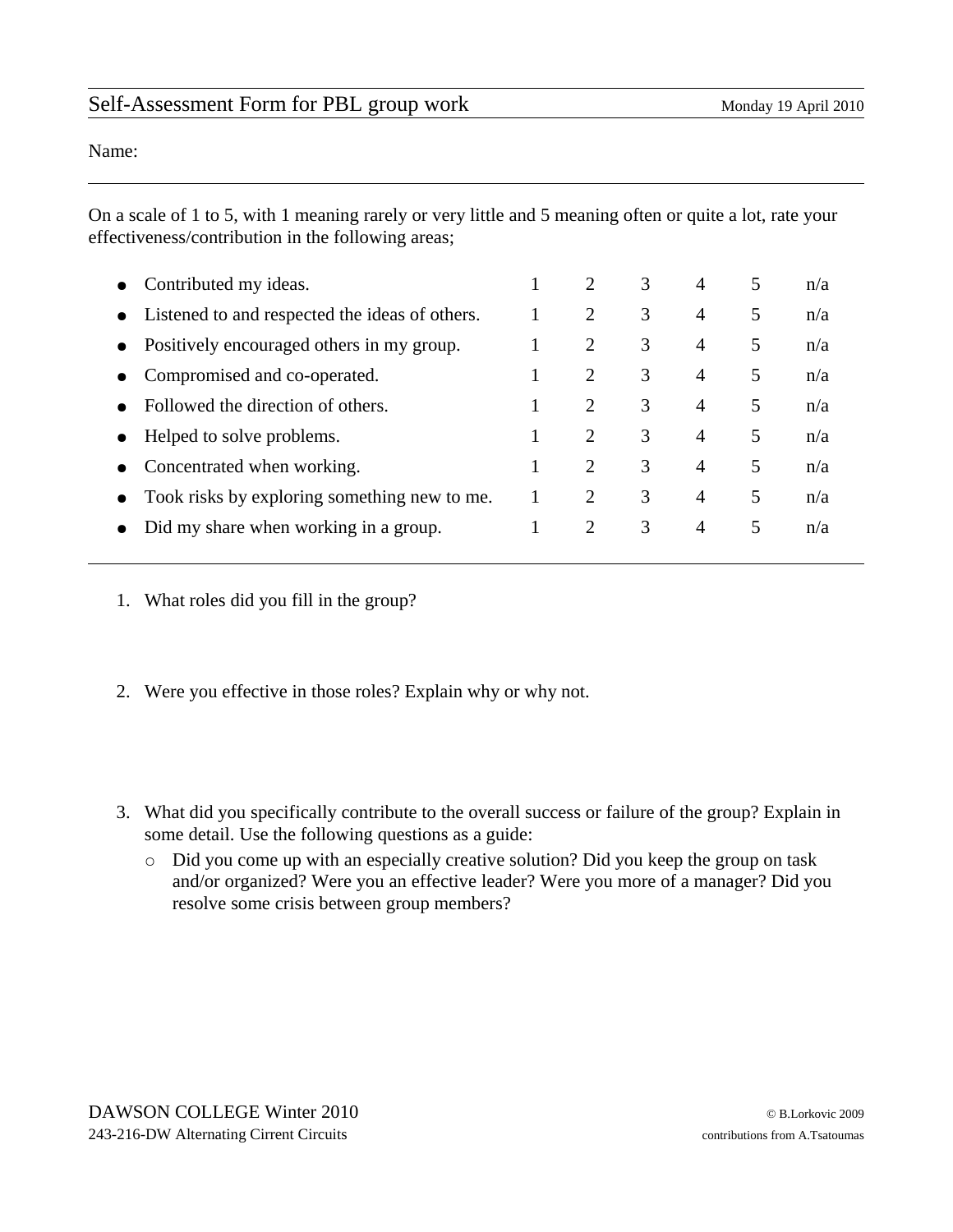## Self-Assessment Form for PBL group work Monday 19 April 2010

Name:

On a scale of 1 to 5, with 1 meaning rarely or very little and 5 meaning often or quite a lot, rate your effectiveness/contribution in the following areas;

|           | Contributed my ideas.                          | 2              | 3 | $\overline{4}$ | 5 | n/a |
|-----------|------------------------------------------------|----------------|---|----------------|---|-----|
| $\bullet$ | Listened to and respected the ideas of others. | 2              | 3 | $\overline{4}$ | 5 | n/a |
| $\bullet$ | Positively encouraged others in my group.      | $\overline{2}$ | 3 | $\overline{4}$ | 5 | n/a |
|           | Compromised and co-operated.                   | 2              | 3 | $\overline{4}$ | 5 | n/a |
|           | Followed the direction of others.              | 2              | 3 | $\overline{4}$ | 5 | n/a |
|           | Helped to solve problems.                      | $\mathcal{P}$  | 3 | $\overline{4}$ | 5 | n/a |
|           | Concentrated when working.                     | 2              | 3 | $\overline{4}$ | 5 | n/a |
|           | Took risks by exploring something new to me.   | $\overline{2}$ | 3 | 4              | 5 | n/a |
|           | Did my share when working in a group.          | 2              | 3 | $\overline{4}$ | 5 | n/a |
|           |                                                |                |   |                |   |     |

- 1. What roles did you fill in the group?
- 2. Were you effective in those roles? Explain why or why not.
- 3. What did you specifically contribute to the overall success or failure of the group? Explain in some detail. Use the following questions as a guide:
	- Did you come up with an especially creative solution? Did you keep the group on task and/or organized? Were you an effective leader? Were you more of a manager? Did you resolve some crisis between group members?